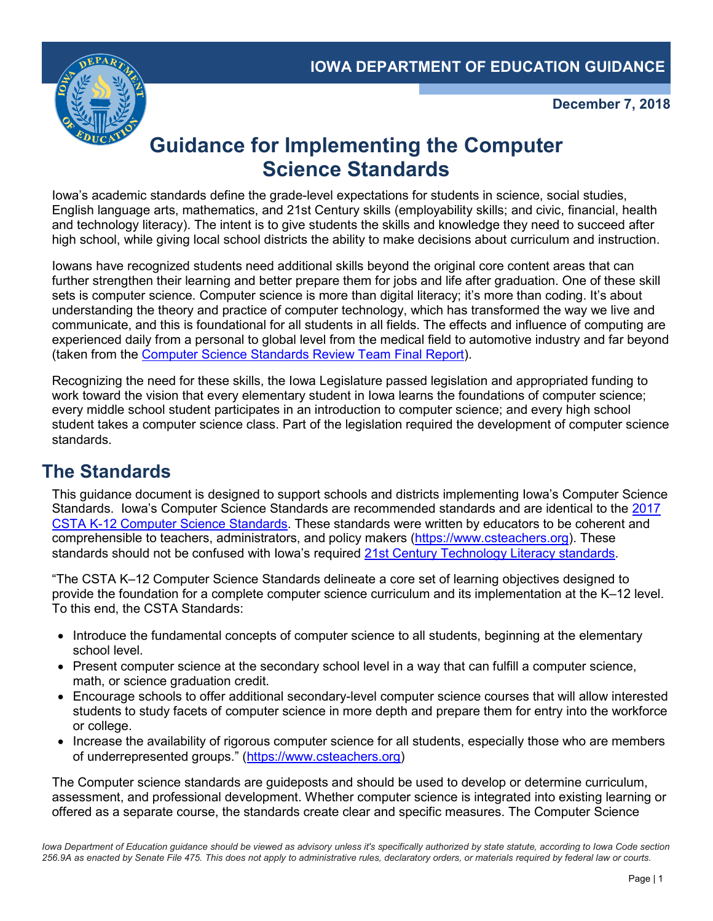

**December 7, 2018**

# **Guidance for Implementing the Computer Science Standards**

Iowa's academic standards define the grade-level expectations for students in science, social studies, English language arts, mathematics, and 21st Century skills (employability skills; and civic, financial, health and technology literacy). The intent is to give students the skills and knowledge they need to succeed after high school, while giving local school districts the ability to make decisions about curriculum and instruction.

Iowans have recognized students need additional skills beyond the original core content areas that can further strengthen their learning and better prepare them for jobs and life after graduation. One of these skill sets is computer science. Computer science is more than digital literacy; it's more than coding. It's about understanding the theory and practice of computer technology, which has transformed the way we live and communicate, and this is foundational for all students in all fields. The effects and influence of computing are experienced daily from a personal to global level from the medical field to automotive industry and far beyond (taken from the [Computer Science Standards Review Team Final Report\)](https://educateiowa.gov/documents/boards-committees-councils-and-task-forces/2018/06/computer-science-standards-final-report).

Recognizing the need for these skills, the Iowa Legislature passed legislation and appropriated funding to work toward the vision that every elementary student in Iowa learns the foundations of computer science; every middle school student participates in an introduction to computer science; and every high school student takes a computer science class. Part of the legislation required the development of computer science standards.

## **The Standards**

This guidance document is designed to support schools and districts implementing Iowa's Computer Science Standards. Iowa's Computer Science Standards are recommended standards and are identical to the [2017](https://www.csteachers.org/page/standards)  [CSTA K-12 Computer Science Standards.](https://www.csteachers.org/page/standards) These standards were written by educators to be coherent and comprehensible to teachers, administrators, and policy makers [\(https://www.csteachers.org\)](https://www.csteachers.org/). These standards should not be confused with Iowa's required [21st Century Technology Literacy standards.](https://iowacore.gov/sites/default/files/k-12_21stcentskills.pdf)

"The CSTA K–12 Computer Science Standards delineate a core set of learning objectives designed to provide the foundation for a complete computer science curriculum and its implementation at the K–12 level. To this end, the CSTA Standards:

- Introduce the fundamental concepts of computer science to all students, beginning at the elementary school level.
- Present computer science at the secondary school level in a way that can fulfill a computer science, math, or science graduation credit.
- Encourage schools to offer additional secondary-level computer science courses that will allow interested students to study facets of computer science in more depth and prepare them for entry into the workforce or college.
- Increase the availability of rigorous computer science for all students, especially those who are members of underrepresented groups." [\(https://www.csteachers.org\)](https://www.csteachers.org/)

The Computer science standards are guideposts and should be used to develop or determine curriculum, assessment, and professional development. Whether computer science is integrated into existing learning or offered as a separate course, the standards create clear and specific measures. The Computer Science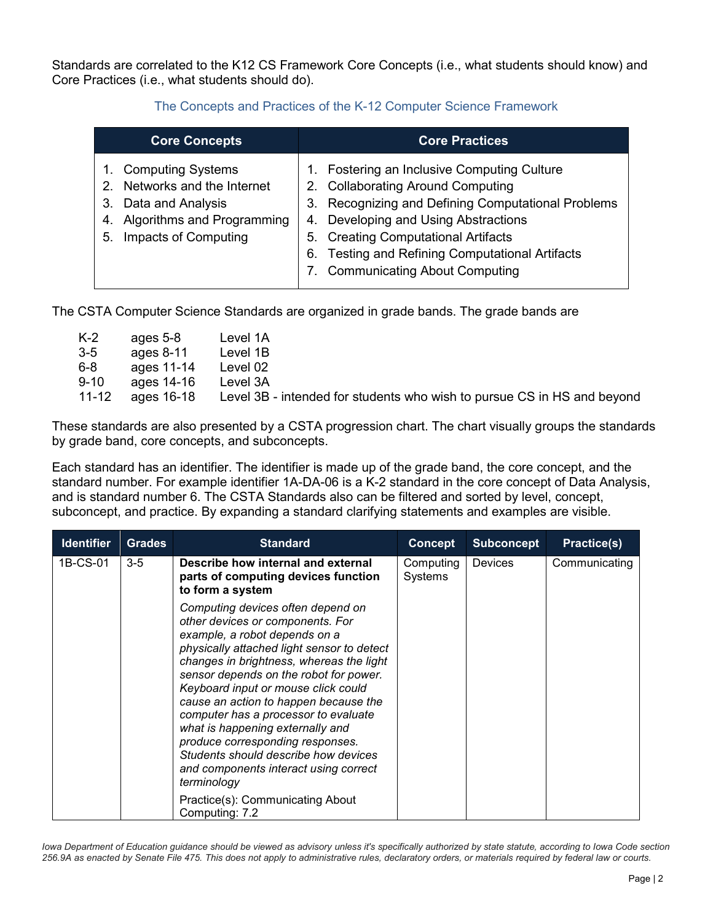Standards are correlated to the K12 CS Framework Core Concepts (i.e., what students should know) and Core Practices (i.e., what students should do).

#### The Concepts and Practices of the K-12 Computer Science Framework

| <b>Core Concepts</b>                                                                                                                                           | <b>Core Practices</b>                                                                                                                                                                                                                                                                                                  |  |  |
|----------------------------------------------------------------------------------------------------------------------------------------------------------------|------------------------------------------------------------------------------------------------------------------------------------------------------------------------------------------------------------------------------------------------------------------------------------------------------------------------|--|--|
| <b>Computing Systems</b><br>$1_{\cdot}$<br>2. Networks and the Internet<br>3. Data and Analysis<br>4. Algorithms and Programming<br>Impacts of Computing<br>5. | 1. Fostering an Inclusive Computing Culture<br>2. Collaborating Around Computing<br>3. Recognizing and Defining Computational Problems<br>4. Developing and Using Abstractions<br>5. Creating Computational Artifacts<br><b>Testing and Refining Computational Artifacts</b><br>6.<br>7. Communicating About Computing |  |  |

The CSTA Computer Science Standards are organized in grade bands. The grade bands are

| $K-2$     | ages 5-8   | Level 1A                                                                |
|-----------|------------|-------------------------------------------------------------------------|
| $3 - 5$   | ages 8-11  | Level 1B                                                                |
| $6 - 8$   | ages 11-14 | Level 02                                                                |
| $9 - 10$  | ages 14-16 | Level 3A                                                                |
| $11 - 12$ | ages 16-18 | Level 3B - intended for students who wish to pursue CS in HS and beyond |

These standards are also presented by a CSTA progression chart. The chart visually groups the standards by grade band, core concepts, and subconcepts.

Each standard has an identifier. The identifier is made up of the grade band, the core concept, and the standard number. For example identifier 1A-DA-06 is a K-2 standard in the core concept of Data Analysis, and is standard number 6. The CSTA Standards also can be filtered and sorted by level, concept, subconcept, and practice. By expanding a standard clarifying statements and examples are visible.

| <b>Standard</b>                                                                                                                                                                                                                                                                                                                                                                                                                                                                                                                                                                | <b>Concept</b>       | <b>Subconcept</b> | <b>Practice(s)</b> |
|--------------------------------------------------------------------------------------------------------------------------------------------------------------------------------------------------------------------------------------------------------------------------------------------------------------------------------------------------------------------------------------------------------------------------------------------------------------------------------------------------------------------------------------------------------------------------------|----------------------|-------------------|--------------------|
| Describe how internal and external<br>parts of computing devices function<br>to form a system                                                                                                                                                                                                                                                                                                                                                                                                                                                                                  | Computing<br>Systems | <b>Devices</b>    | Communicating      |
| Computing devices often depend on<br>other devices or components. For<br>example, a robot depends on a<br>physically attached light sensor to detect<br>changes in brightness, whereas the light<br>sensor depends on the robot for power.<br>Keyboard input or mouse click could<br>cause an action to happen because the<br>computer has a processor to evaluate<br>what is happening externally and<br>produce corresponding responses.<br>Students should describe how devices<br>and components interact using correct<br>terminology<br>Practice(s): Communicating About |                      |                   |                    |
|                                                                                                                                                                                                                                                                                                                                                                                                                                                                                                                                                                                | Computing: 7.2       |                   |                    |

Iowa Department of Education guidance should be viewed as advisory unless it's specifically authorized by state statute, according to Iowa Code section *256.9A as enacted by Senate File 475. This does not apply to administrative rules, declaratory orders, or materials required by federal law or courts.*